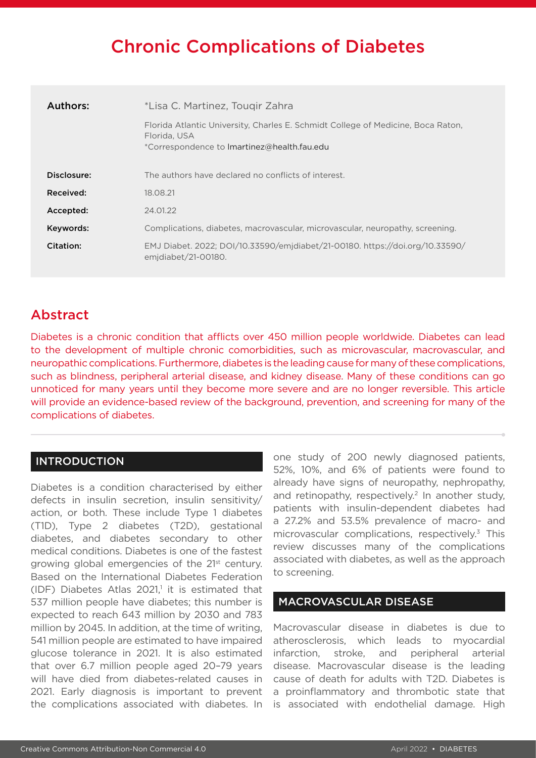# Chronic Complications of Diabetes

| Authors:    | *Lisa C. Martinez, Tougir Zahra                                                                                                                 |  |  |
|-------------|-------------------------------------------------------------------------------------------------------------------------------------------------|--|--|
|             | Florida Atlantic University, Charles E. Schmidt College of Medicine, Boca Raton,<br>Florida, USA<br>*Correspondence to Imartinez@health.fau.edu |  |  |
| Disclosure: | The authors have declared no conflicts of interest.                                                                                             |  |  |
| Received:   | 18.08.21                                                                                                                                        |  |  |
| Accepted:   | 24.01.22                                                                                                                                        |  |  |
| Keywords:   | Complications, diabetes, macrovascular, microvascular, neuropathy, screening.                                                                   |  |  |
| Citation:   | EMJ Diabet. 2022; DOI/10.33590/emjdiabet/21-00180. https://doi.org/10.33590/<br>emidiabet/21-00180.                                             |  |  |

# Abstract

Diabetes is a chronic condition that afflicts over 450 million people worldwide. Diabetes can lead to the development of multiple chronic comorbidities, such as microvascular, macrovascular, and neuropathic complications. Furthermore, diabetes is the leading cause for many of these complications, such as blindness, peripheral arterial disease, and kidney disease. Many of these conditions can go unnoticed for many years until they become more severe and are no longer reversible. This article will provide an evidence-based review of the background, prevention, and screening for many of the complications of diabetes.

# INTRODUCTION

Diabetes is a condition characterised by either defects in insulin secretion, insulin sensitivity/ action, or both. These include Type 1 diabetes (T1D), Type 2 diabetes (T2D), gestational diabetes, and diabetes secondary to other medical conditions. Diabetes is one of the fastest growing global emergencies of the 21<sup>st</sup> century. Based on the International Diabetes Federation  $(IDF)$  Diabetes Atlas 2021,<sup>1</sup> it is estimated that 537 million people have diabetes; this number is expected to reach 643 million by 2030 and 783 million by 2045. In addition, at the time of writing, 541 million people are estimated to have impaired glucose tolerance in 2021. It is also estimated that over 6.7 million people aged 20–79 years will have died from diabetes-related causes in 2021. Early diagnosis is important to prevent the complications associated with diabetes. In

one study of 200 newly diagnosed patients, 52%, 10%, and 6% of patients were found to already have signs of neuropathy, nephropathy, and retinopathy, respectively.<sup>2</sup> In another study, patients with insulin-dependent diabetes had a 27.2% and 53.5% prevalence of macro- and microvascular complications, respectively. $3$  This review discusses many of the complications associated with diabetes, as well as the approach to screening.

# MACROVASCULAR DISEASE

Macrovascular disease in diabetes is due to atherosclerosis, which leads to myocardial infarction, stroke, and peripheral arterial disease. Macrovascular disease is the leading cause of death for adults with T2D. Diabetes is a proinflammatory and thrombotic state that is associated with endothelial damage. High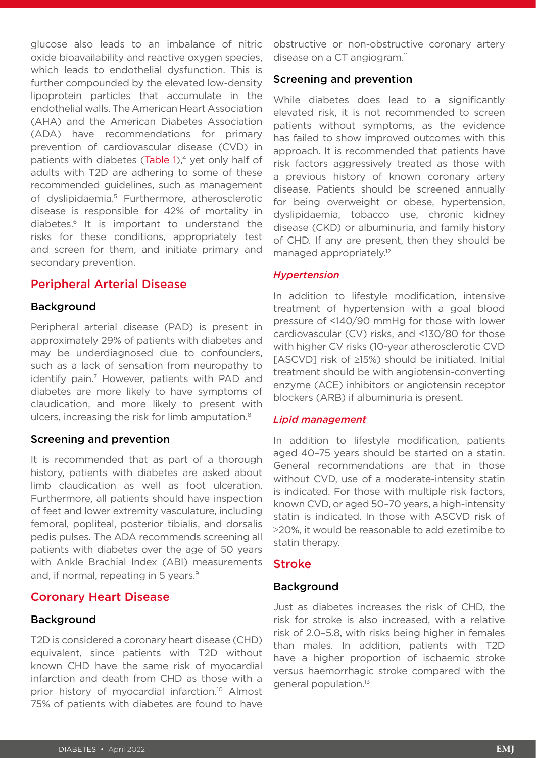glucose also leads to an imbalance of nitric oxide bioavailability and reactive oxygen species, which leads to endothelial dysfunction. This is further compounded by the elevated low-density lipoprotein particles that accumulate in the endothelial walls. The American Heart Association (AHA) and the American Diabetes Association (ADA) have recommendations for primary prevention of cardiovascular disease (CVD) in patients with diabetes (Table  $1$ ),<sup>4</sup> yet only half of adults with T2D are adhering to some of these recommended guidelines, such as management of dyslipidaemia.<sup>5</sup> Furthermore, atherosclerotic disease is responsible for 42% of mortality in diabetes.6 It is important to understand the risks for these conditions, appropriately test and screen for them, and initiate primary and secondary prevention.

### Peripheral Arterial Disease

### Background

Peripheral arterial disease (PAD) is present in approximately 29% of patients with diabetes and may be underdiagnosed due to confounders, such as a lack of sensation from neuropathy to identify pain.<sup>7</sup> However, patients with PAD and diabetes are more likely to have symptoms of claudication, and more likely to present with ulcers, increasing the risk for limb amputation.8

### Screening and prevention

It is recommended that as part of a thorough history, patients with diabetes are asked about limb claudication as well as foot ulceration. Furthermore, all patients should have inspection of feet and lower extremity vasculature, including femoral, popliteal, posterior tibialis, and dorsalis pedis pulses. The ADA recommends screening all patients with diabetes over the age of 50 years with Ankle Brachial Index (ABI) measurements and, if normal, repeating in 5 years.<sup>9</sup>

### Coronary Heart Disease

### **Background**

T2D is considered a coronary heart disease (CHD) equivalent, since patients with T2D without known CHD have the same risk of myocardial infarction and death from CHD as those with a prior history of myocardial infarction.<sup>10</sup> Almost 75% of patients with diabetes are found to have

obstructive or non-obstructive coronary artery disease on a CT angiogram. $<sup>11</sup>$ </sup>

### Screening and prevention

While diabetes does lead to a significantly elevated risk, it is not recommended to screen patients without symptoms, as the evidence has failed to show improved outcomes with this approach. It is recommended that patients have risk factors aggressively treated as those with a previous history of known coronary artery disease. Patients should be screened annually for being overweight or obese, hypertension, dyslipidaemia, tobacco use, chronic kidney disease (CKD) or albuminuria, and family history of CHD. If any are present, then they should be managed appropriately.<sup>12</sup>

### *Hypertension*

In addition to lifestyle modification, intensive treatment of hypertension with a goal blood pressure of <140/90 mmHg for those with lower cardiovascular (CV) risks, and <130/80 for those with higher CV risks (10-year atherosclerotic CVD [ASCVD] risk of ≥15%) should be initiated. Initial treatment should be with angiotensin-converting enzyme (ACE) inhibitors or angiotensin receptor blockers (ARB) if albuminuria is present.

### *Lipid management*

In addition to lifestyle modification, patients aged 40–75 years should be started on a statin. General recommendations are that in those without CVD, use of a moderate-intensity statin is indicated. For those with multiple risk factors, known CVD, or aged 50–70 years, a high-intensity statin is indicated. In those with ASCVD risk of ≥20%, it would be reasonable to add ezetimibe to statin therapy.

### Stroke

### Background

Just as diabetes increases the risk of CHD, the risk for stroke is also increased, with a relative risk of 2.0–5.8, with risks being higher in females than males. In addition, patients with T2D have a higher proportion of ischaemic stroke versus haemorrhagic stroke compared with the general population.13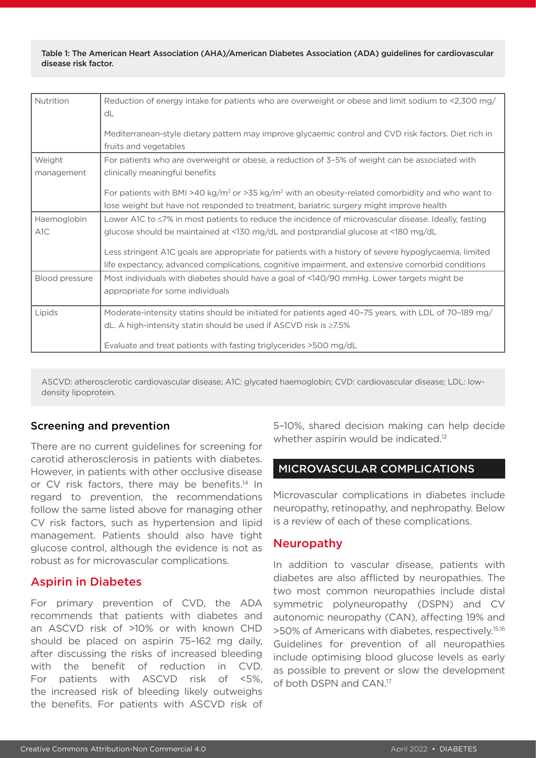Table 1: The American Heart Association (AHA)/American Diabetes Association (ADA) guidelines for cardiovascular disease risk factor.

| Nutrition                       | Reduction of energy intake for patients who are overweight or obese and limit sodium to <2,300 mg/<br>dL<br>Mediterranean-style dietary pattern may improve glycaemic control and CVD risk factors. Diet rich in<br>fruits and vegetables                                                                                                                                                                    |
|---------------------------------|--------------------------------------------------------------------------------------------------------------------------------------------------------------------------------------------------------------------------------------------------------------------------------------------------------------------------------------------------------------------------------------------------------------|
| Weight<br>management            | For patients who are overweight or obese, a reduction of 3-5% of weight can be associated with<br>clinically meaningful benefits<br>For patients with BMI >40 kg/m <sup>2</sup> or >35 kg/m <sup>2</sup> with an obesity-related comorbidity and who want to                                                                                                                                                 |
|                                 | lose weight but have not responded to treatment, bariatric surgery might improve health                                                                                                                                                                                                                                                                                                                      |
| Haemoglobin<br>A <sub>1</sub> C | Lower A1C to $\leq$ 7% in most patients to reduce the incidence of microvascular disease. Ideally, fasting<br>glucose should be maintained at <130 mg/dL and postprandial glucose at <180 mg/dL<br>Less stringent AIC goals are appropriate for patients with a history of severe hypoglycaemia, limited<br>life expectancy, advanced complications, cognitive impairment, and extensive comorbid conditions |
| Blood pressure                  | Most individuals with diabetes should have a goal of <140/90 mmHg. Lower targets might be<br>appropriate for some individuals                                                                                                                                                                                                                                                                                |
| Lipids                          | Moderate-intensity statins should be initiated for patients aged 40-75 years, with LDL of 70-189 mg/<br>dL. A high-intensity statin should be used if ASCVD risk is $\geq$ 7.5%<br>Evaluate and treat patients with fasting triglycerides >500 mg/dL                                                                                                                                                         |

ASCVD: atherosclerotic cardiovascular disease; A1C: glycated haemoglobin; CVD: cardiovascular disease; LDL: lowdensity lipoprotein.

# Screening and prevention

There are no current guidelines for screening for carotid atherosclerosis in patients with diabetes. However, in patients with other occlusive disease or CV risk factors, there may be benefits.<sup>14</sup> In regard to prevention, the recommendations follow the same listed above for managing other CV risk factors, such as hypertension and lipid management. Patients should also have tight glucose control, although the evidence is not as robust as for microvascular complications.

### Aspirin in Diabetes

For primary prevention of CVD, the ADA recommends that patients with diabetes and an ASCVD risk of >10% or with known CHD should be placed on aspirin 75–162 mg daily, after discussing the risks of increased bleeding with the benefit of reduction in CVD. For patients with ASCVD risk of <5%, the increased risk of bleeding likely outweighs the benefits. For patients with ASCVD risk of

5–10%, shared decision making can help decide whether aspirin would be indicated.<sup>12</sup>

### MICROVASCULAR COMPLICATIONS

Microvascular complications in diabetes include neuropathy, retinopathy, and nephropathy. Below is a review of each of these complications.

### Neuropathy

In addition to vascular disease, patients with diabetes are also afflicted by neuropathies. The two most common neuropathies include distal symmetric polyneuropathy (DSPN) and CV autonomic neuropathy (CAN), affecting 19% and >50% of Americans with diabetes, respectively.15,16 Guidelines for prevention of all neuropathies include optimising blood glucose levels as early as possible to prevent or slow the development of both DSPN and CAN.17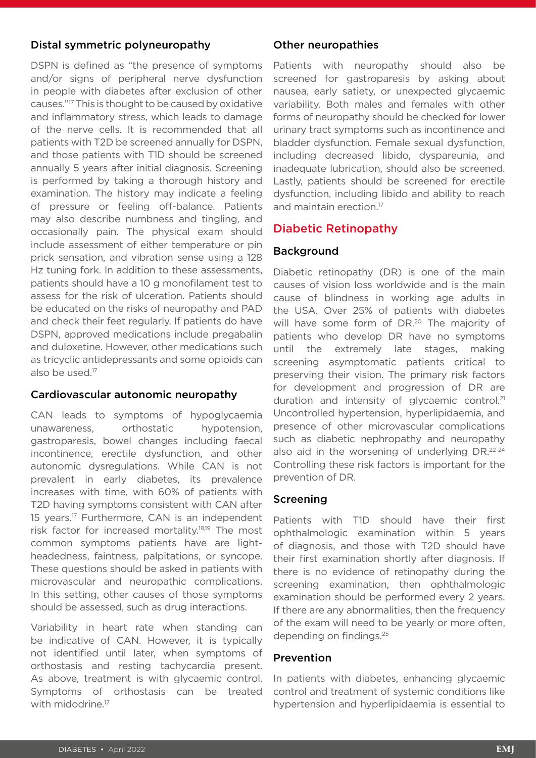# Distal symmetric polyneuropathy

DSPN is defined as "the presence of symptoms and/or signs of peripheral nerve dysfunction in people with diabetes after exclusion of other causes."17 This is thought to be caused by oxidative and inflammatory stress, which leads to damage of the nerve cells. It is recommended that all patients with T2D be screened annually for DSPN, and those patients with T1D should be screened annually 5 years after initial diagnosis. Screening is performed by taking a thorough history and examination. The history may indicate a feeling of pressure or feeling off-balance. Patients may also describe numbness and tingling, and occasionally pain. The physical exam should include assessment of either temperature or pin prick sensation, and vibration sense using a 128 Hz tuning fork. In addition to these assessments, patients should have a 10 g monofilament test to assess for the risk of ulceration. Patients should be educated on the risks of neuropathy and PAD and check their feet regularly. If patients do have DSPN, approved medications include pregabalin and duloxetine. However, other medications such as tricyclic antidepressants and some opioids can also be used.<sup>17</sup>

# Cardiovascular autonomic neuropathy

CAN leads to symptoms of hypoglycaemia unawareness, orthostatic hypotension, gastroparesis, bowel changes including faecal incontinence, erectile dysfunction, and other autonomic dysregulations. While CAN is not prevalent in early diabetes, its prevalence increases with time, with 60% of patients with T2D having symptoms consistent with CAN after 15 years.17 Furthermore, CAN is an independent risk factor for increased mortality.18,19 The most common symptoms patients have are lightheadedness, faintness, palpitations, or syncope. These questions should be asked in patients with microvascular and neuropathic complications. In this setting, other causes of those symptoms should be assessed, such as drug interactions.

Variability in heart rate when standing can be indicative of CAN. However, it is typically not identified until later, when symptoms of orthostasis and resting tachycardia present. As above, treatment is with glycaemic control. Symptoms of orthostasis can be treated with midodrine.<sup>17</sup>

# Other neuropathies

Patients with neuropathy should also be screened for gastroparesis by asking about nausea, early satiety, or unexpected glycaemic variability. Both males and females with other forms of neuropathy should be checked for lower urinary tract symptoms such as incontinence and bladder dysfunction. Female sexual dysfunction, including decreased libido, dyspareunia, and inadequate lubrication, should also be screened. Lastly, patients should be screened for erectile dysfunction, including libido and ability to reach and maintain erection.<sup>17</sup>

# Diabetic Retinopathy

# Background

Diabetic retinopathy (DR) is one of the main causes of vision loss worldwide and is the main cause of blindness in working age adults in the USA. Over 25% of patients with diabetes will have some form of DR.<sup>20</sup> The majority of patients who develop DR have no symptoms until the extremely late stages, making screening asymptomatic patients critical to preserving their vision. The primary risk factors for development and progression of DR are duration and intensity of glycaemic control.<sup>21</sup> Uncontrolled hypertension, hyperlipidaemia, and presence of other microvascular complications such as diabetic nephropathy and neuropathy also aid in the worsening of underlying DR.22-24 Controlling these risk factors is important for the prevention of DR.

# Screening

Patients with T1D should have their first ophthalmologic examination within 5 years of diagnosis, and those with T2D should have their first examination shortly after diagnosis. If there is no evidence of retinopathy during the screening examination, then ophthalmologic examination should be performed every 2 years. If there are any abnormalities, then the frequency of the exam will need to be yearly or more often, depending on findings.25

# Prevention

In patients with diabetes, enhancing glycaemic control and treatment of systemic conditions like hypertension and hyperlipidaemia is essential to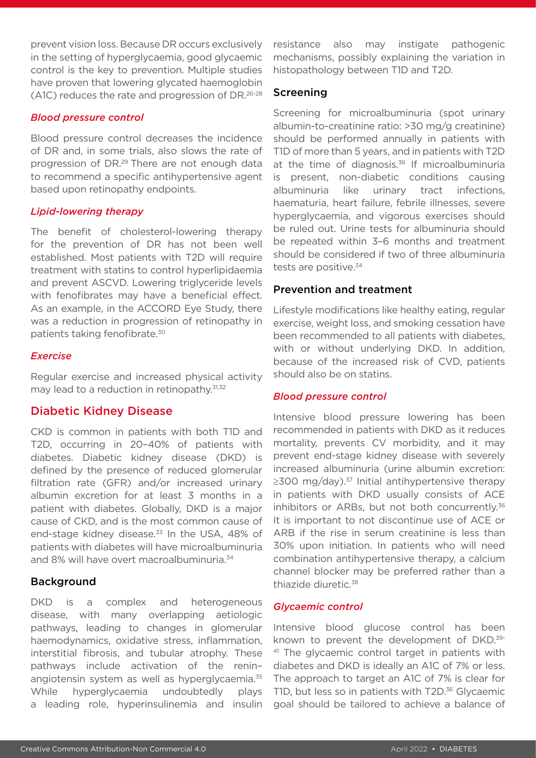prevent vision loss. Because DR occurs exclusively in the setting of hyperglycaemia, good glycaemic control is the key to prevention. Multiple studies have proven that lowering glycated haemoglobin (A1C) reduces the rate and progression of DR.26-28

### *Blood pressure control*

Blood pressure control decreases the incidence of DR and, in some trials, also slows the rate of progression of DR.29 There are not enough data to recommend a specific antihypertensive agent based upon retinopathy endpoints.

### *Lipid-lowering therapy*

The benefit of cholesterol-lowering therapy for the prevention of DR has not been well established. Most patients with T2D will require treatment with statins to control hyperlipidaemia and prevent ASCVD. Lowering triglyceride levels with fenofibrates may have a beneficial effect. As an example, in the ACCORD Eye Study, there was a reduction in progression of retinopathy in patients taking fenofibrate.30

### *Exercise*

Regular exercise and increased physical activity may lead to a reduction in retinopathy.<sup>31,32</sup>

# Diabetic Kidney Disease

CKD is common in patients with both T1D and T2D, occurring in 20–40% of patients with diabetes. Diabetic kidney disease (DKD) is defined by the presence of reduced glomerular filtration rate (GFR) and/or increased urinary albumin excretion for at least 3 months in a patient with diabetes. Globally, DKD is a major cause of CKD, and is the most common cause of end-stage kidney disease.<sup>33</sup> In the USA, 48% of patients with diabetes will have microalbuminuria and 8% will have overt macroalbuminuria.<sup>34</sup>

### Background

DKD is a complex and heterogeneous disease, with many overlapping aetiologic pathways, leading to changes in glomerular haemodynamics, oxidative stress, inflammation, interstitial fibrosis, and tubular atrophy. These pathways include activation of the renin– angiotensin system as well as hyperglycaemia.<sup>35</sup> While hyperglycaemia undoubtedly plays a leading role, hyperinsulinemia and insulin

resistance also may instigate pathogenic mechanisms, possibly explaining the variation in histopathology between T1D and T2D.

## Screening

Screening for microalbuminuria (spot urinary albumin-to-creatinine ratio: >30 mg/g creatinine) should be performed annually in patients with T1D of more than 5 years, and in patients with T2D at the time of diagnosis. $36$  If microalbuminuria is present, non-diabetic conditions causing albuminuria like urinary tract infections, haematuria, heart failure, febrile illnesses, severe hyperglycaemia, and vigorous exercises should be ruled out. Urine tests for albuminuria should be repeated within 3–6 months and treatment should be considered if two of three albuminuria tests are positive.<sup>34</sup>

## Prevention and treatment

Lifestyle modifications like healthy eating, regular exercise, weight loss, and smoking cessation have been recommended to all patients with diabetes, with or without underlying DKD. In addition, because of the increased risk of CVD, patients should also be on statins.

### *Blood pressure control*

Intensive blood pressure lowering has been recommended in patients with DKD as it reduces mortality, prevents CV morbidity, and it may prevent end-stage kidney disease with severely increased albuminuria (urine albumin excretion:  $\geq$ 300 mg/day).<sup>37</sup> Initial antihypertensive therapy in patients with DKD usually consists of ACE inhibitors or ARBs, but not both concurrently.<sup>36</sup> It is important to not discontinue use of ACE or ARB if the rise in serum creatinine is less than 30% upon initiation. In patients who will need combination antihypertensive therapy, a calcium channel blocker may be preferred rather than a thiazide diuretic.38

### *Glycaemic control*

Intensive blood glucose control has been known to prevent the development of DKD.39- <sup>41</sup> The glycaemic control target in patients with diabetes and DKD is ideally an A1C of 7% or less. The approach to target an A1C of 7% is clear for T1D, but less so in patients with T2D.<sup>36</sup> Glycaemic goal should be tailored to achieve a balance of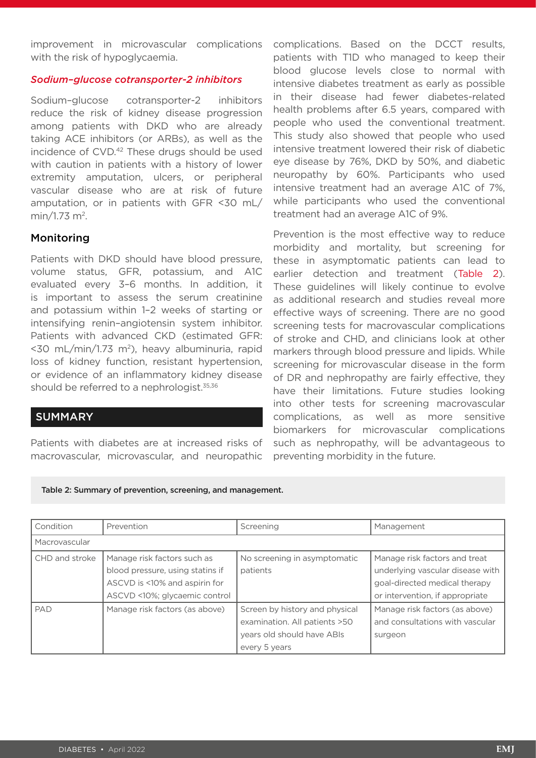improvement in microvascular complications with the risk of hypoglycaemia.

### *Sodium–glucose cotransporter-2 inhibitors*

Sodium–glucose cotransporter-2 inhibitors reduce the risk of kidney disease progression among patients with DKD who are already taking ACE inhibitors (or ARBs), as well as the incidence of CVD.<sup>42</sup> These drugs should be used with caution in patients with a history of lower extremity amputation, ulcers, or peripheral vascular disease who are at risk of future amputation, or in patients with GFR <30 mL/ min/1.73 m2.

## Monitoring

Patients with DKD should have blood pressure, volume status, GFR, potassium, and A1C evaluated every 3–6 months. In addition, it is important to assess the serum creatinine and potassium within 1–2 weeks of starting or intensifying renin–angiotensin system inhibitor. Patients with advanced CKD (estimated GFR: <30 mL/min/1.73 m<sup>2</sup>), heavy albuminuria, rapid loss of kidney function, resistant hypertension, or evidence of an inflammatory kidney disease should be referred to a nephrologist.<sup>35,36</sup>

# SUMMARY

Patients with diabetes are at increased risks of macrovascular, microvascular, and neuropathic complications. Based on the DCCT results, patients with T1D who managed to keep their blood glucose levels close to normal with intensive diabetes treatment as early as possible in their disease had fewer diabetes-related health problems after 6.5 years, compared with people who used the conventional treatment. This study also showed that people who used intensive treatment lowered their risk of diabetic eye disease by 76%, DKD by 50%, and diabetic neuropathy by 60%. Participants who used intensive treatment had an average A1C of 7%, while participants who used the conventional treatment had an average A1C of 9%.

Prevention is the most effective way to reduce morbidity and mortality, but screening for these in asymptomatic patients can lead to earlier detection and treatment (Table 2). These guidelines will likely continue to evolve as additional research and studies reveal more effective ways of screening. There are no good screening tests for macrovascular complications of stroke and CHD, and clinicians look at other markers through blood pressure and lipids. While screening for microvascular disease in the form of DR and nephropathy are fairly effective, they have their limitations. Future studies looking into other tests for screening macrovascular complications, as well as more sensitive biomarkers for microvascular complications such as nephropathy, will be advantageous to preventing morbidity in the future.

Table 2: Summary of prevention, screening, and management.

| Condition      | Prevention                                                                                                                        | Screening                                                                                                      | Management                                                                                                                            |  |  |  |
|----------------|-----------------------------------------------------------------------------------------------------------------------------------|----------------------------------------------------------------------------------------------------------------|---------------------------------------------------------------------------------------------------------------------------------------|--|--|--|
| Macrovascular  |                                                                                                                                   |                                                                                                                |                                                                                                                                       |  |  |  |
| CHD and stroke | Manage risk factors such as<br>blood pressure, using statins if<br>ASCVD is <10% and aspirin for<br>ASCVD <10%; glycaemic control | No screening in asymptomatic<br>patients                                                                       | Manage risk factors and treat<br>underlying vascular disease with<br>goal-directed medical therapy<br>or intervention, if appropriate |  |  |  |
| PAD            | Manage risk factors (as above)                                                                                                    | Screen by history and physical<br>examination. All patients >50<br>years old should have ABIs<br>every 5 years | Manage risk factors (as above)<br>and consultations with vascular<br>surgeon                                                          |  |  |  |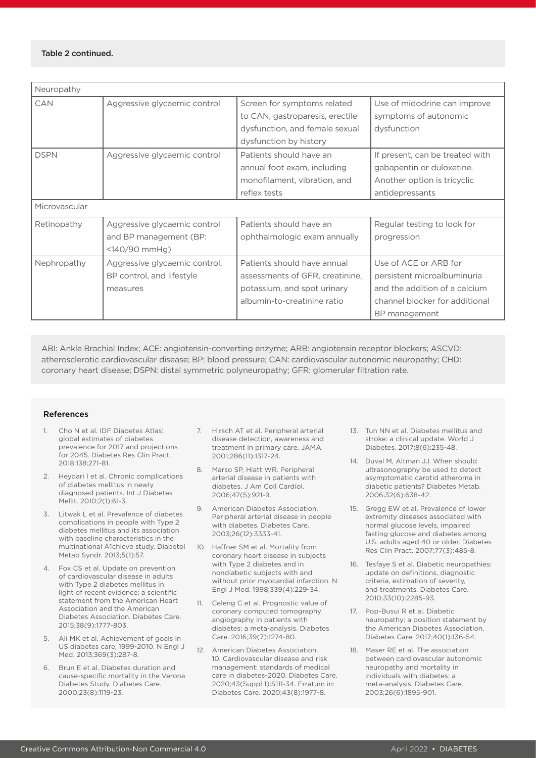#### Table 2 continued.

| Neuropathy    |                                                                           |                                                                                                                              |                                                                                                                                          |  |  |
|---------------|---------------------------------------------------------------------------|------------------------------------------------------------------------------------------------------------------------------|------------------------------------------------------------------------------------------------------------------------------------------|--|--|
| CAN           | Aggressive glycaemic control                                              | Screen for symptoms related<br>to CAN, gastroparesis, erectile<br>dysfunction, and female sexual<br>dysfunction by history   | Use of midodrine can improve<br>symptoms of autonomic<br>dysfunction                                                                     |  |  |
| <b>DSPN</b>   | Aggressive glycaemic control                                              | Patients should have an<br>annual foot exam, including<br>monofilament, vibration, and<br>reflex tests                       | If present, can be treated with<br>gabapentin or duloxetine.<br>Another option is tricyclic<br>antidepressants                           |  |  |
| Microvascular |                                                                           |                                                                                                                              |                                                                                                                                          |  |  |
| Retinopathy   | Aggressive glycaemic control<br>and BP management (BP:<br>$<140/90$ mmHg) | Patients should have an<br>ophthalmologic exam annually                                                                      | Regular testing to look for<br>progression                                                                                               |  |  |
| Nephropathy   | Aggressive glycaemic control,<br>BP control, and lifestyle<br>measures    | Patients should have annual<br>assessments of GFR, creatinine,<br>potassium, and spot urinary<br>albumin-to-creatinine ratio | Use of ACE or ARB for<br>persistent microalbuminuria<br>and the addition of a calcium<br>channel blocker for additional<br>BP management |  |  |

ABI: Ankle Brachial Index; ACE: angiotensin-converting enzyme; ARB: angiotensin receptor blockers; ASCVD: atherosclerotic cardiovascular disease; BP: blood pressure; CAN: cardiovascular autonomic neuropathy; CHD: coronary heart disease; DSPN: distal symmetric polyneuropathy; GFR: glomerular filtration rate.

#### References

- 1. Cho N et al. IDF Diabetes Atlas: global estimates of diabetes prevalence for 2017 and projections for 2045. Diabetes Res Clin Pract. 2018;138:271-81.
- 2. Heydari I et al. Chronic complications of diabetes mellitus in newly diagnosed patients. Int J Diabetes Mellit. 2010;2(1):61-3.
- 3. Litwak L et al. Prevalence of diabetes complications in people with Type 2 diabetes mellitus and its association with baseline characteristics in the multinational A1chieve study. Diabetol Metab Syndr. 2013;5(1):57.
- 4. Fox CS et al. Update on prevention of cardiovascular disease in adults with Type 2 diabetes mellitus in light of recent evidence: a scientific statement from the American Heart Association and the American Diabetes Association. Diabetes Care. 2015;38(9):1777-803.
- Ali MK et al. Achievement of goals in US diabetes care, 1999-2010. N Engl J Med. 2013;369(3):287-8.
- 6. Brun E et al. Diabetes duration and cause-specific mortality in the Verona Diabetes Study. Diabetes Care. 2000;23(8):1119-23.
- 7. Hirsch AT et al. Peripheral arterial disease detection, awareness and treatment in primary care. JAMA. 2001;286(11):1317-24.
- 8. Marso SP, Hiatt WR. Peripheral arterial disease in patients with diabetes. J Am Coll Cardiol. 2006;47(5):921-9.
- 9. American Diabetes Association. Peripheral arterial disease in people with diabetes. Diabetes Care. 2003;26(12):3333-41.
- 10. Haffner SM et al. Mortality from coronary heart disease in subjects with Type 2 diabetes and in nondiabetic subjects with and without prior myocardial infarction. N Engl J Med. 1998;339(4):229-34.
- 11. Celeng C et al. Prognostic value of coronary computed tomography angiography in patients with diabetes: a meta-analysis. Diabetes Care. 2016;39(7):1274-80.
- 12. American Diabetes Association. 10. Cardiovascular disease and risk management: standards of medical care in diabetes-2020. Diabetes Care. 2020;43(Suppl 1):S111-34. Erratum in: Diabetes Care. 2020;43(8):1977-8.
- 13. Tun NN et al. Diabetes mellitus and stroke: a clinical update. World J Diabetes. 2017;8(6):235-48.
- 14. Duval M, Altman JJ. When should ultrasonography be used to detect asymptomatic carotid atheroma in diabetic patients? Diabetes Metab. 2006;32(6):638-42.
- 15. Gregg EW et al. Prevalence of lower extremity diseases associated with normal glucose levels, impaired fasting glucose and diabetes among U.S. adults aged 40 or older. Diabetes Res Clin Pract. 2007;77(3):485-8.
- 16. Tesfaye S et al. Diabetic neuropathies: update on definitions, diagnostic criteria, estimation of severity, and treatments. Diabetes Care. 2010;33(10):2285-93.
- 17. Pop-Busui R et al. Diabetic neuropathy: a position statement by the American Diabetes Association. Diabetes Care. 2017;40(1):136-54.
- 18. Maser RE et al. The association between cardiovascular autonomic neuropathy and mortality in individuals with diabetes: a meta-analysis. Diabetes Care. 2003;26(6):1895-901.